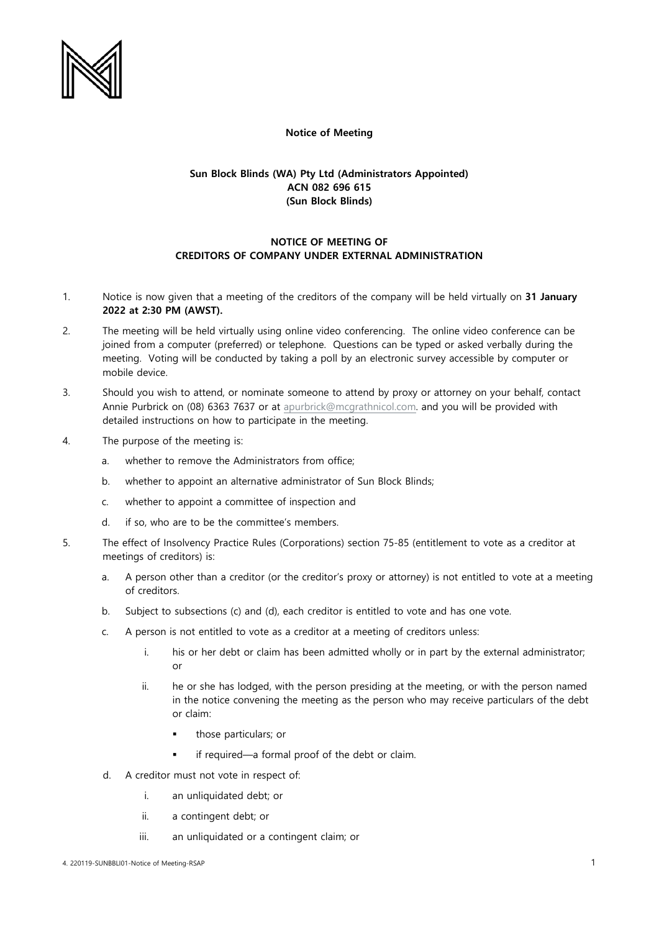

## **Notice of Meeting**

## **Sun Block Blinds (WA) Pty Ltd (Administrators Appointed) ACN 082 696 615 (Sun Block Blinds)**

## **NOTICE OF MEETING OF CREDITORS OF COMPANY UNDER EXTERNAL ADMINISTRATION**

- 1. Notice is now given that a meeting of the creditors of the company will be held virtually on **31 January 2022 at 2:30 PM (AWST).**
- 2. The meeting will be held virtually using online video conferencing. The online video conference can be joined from a computer (preferred) or telephone. Questions can be typed or asked verbally during the meeting. Voting will be conducted by taking a poll by an electronic survey accessible by computer or mobile device.
- 3. Should you wish to attend, or nominate someone to attend by proxy or attorney on your behalf, contact Annie Purbrick on (08) 6363 7637 or at [apurbrick@mcgrathnicol.com.](mailto:apurbrick@mcgrathnicol.com) and you will be provided with detailed instructions on how to participate in the meeting.
- 4. The purpose of the meeting is:
	- a. whether to remove the Administrators from office;
	- b. whether to appoint an alternative administrator of Sun Block Blinds;
	- c. whether to appoint a committee of inspection and
	- d. if so, who are to be the committee's members.
- 5. The effect of Insolvency Practice Rules (Corporations) section 75-85 (entitlement to vote as a creditor at meetings of creditors) is:
	- a. A person other than a creditor (or the creditor's proxy or attorney) is not entitled to vote at a meeting of creditors.
	- b. Subject to subsections (c) and (d), each creditor is entitled to vote and has one vote.
	- c. A person is not entitled to vote as a creditor at a meeting of creditors unless:
		- i. his or her debt or claim has been admitted wholly or in part by the external administrator; or
		- ii. he or she has lodged, with the person presiding at the meeting, or with the person named in the notice convening the meeting as the person who may receive particulars of the debt or claim:
			- those particulars; or
			- if required—a formal proof of the debt or claim.
	- d. A creditor must not vote in respect of:
		- i. an unliquidated debt; or
		- ii. a contingent debt; or
		- iii. an unliquidated or a contingent claim; or